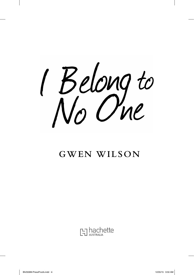1 Belong to

## **GWEN WILSON**

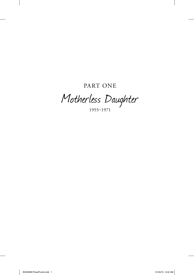## PART ONE

Motherless Daughter

1955–1971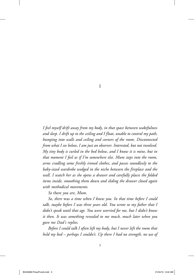*I feel myself drift away from my body, in that space between wakefulness and sleep. I drift up to the ceiling and I float, unable to control my path, bumping into walls and ceiling and corners of the room. Disconnected from what I see below, I am just an observer. Interested, but not involved. My tiny body is curled in the bed below, and I know it is mine, but in that moment I feel as if I'm somewhere else. Mum steps into the room, arms cradling some freshly ironed clothes, and passes soundlessly to the baby-sized wardrobe wedged in the niche between the fireplace and the wall. I watch her as she opens a drawer and carefully places the folded items inside, smoothing them down and sliding the drawer closed again with methodical movements.*

*So* there *you are, Mum.*

*So, there* was *a time when I knew you. In that time before I could talk, maybe before I was three years old. You wrote to my father that I didn't speak until that age. You were worried for me, but I didn't know it then. It was something revealed to me much, much later when you gave me Dad's replies.*

*Before I could talk I often left my body, but I never left the room that held my bed – perhaps I couldn't. Up there I had no strength, no use of*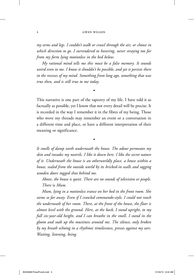*my arms and legs. I couldn't walk or crawl through the air, or choose in which direction to go. I surrendered to hovering, never straying too far from my form lying motionless in the bed below.*

*My rational mind tells me this must be a false memory. It sounds weird even to me. I know it shouldn't be possible, and yet it persists there in the recesses of my mind. Something from long ago, something that was true then, and is still true to me today.*

*•*

This narrative is one part of the tapestry of my life. I have told it as factually as possible, yet I know that not every detail will be precise. It is recorded in the way I remember it in the fibres of my being. Those who wove my threads may remember an event or a conversation in a different time and place, or have a different interpretation of their meaning or significance.

*It smells of damp earth underneath the house. The odour permeates my skin and invades my nostrils. I like it down here. I like the secret nature of it. Underneath the house is an otherworldly place, a house within a house, sealed from the outside world by its bricked-in walls and sagging wooden doors tugged shut behind me.*

*•*

*Above, the house is quiet. There are no sounds of television or people. There* is *Mum.*

*Mum, lying in a motionless trance on her bed in the front room. She seems so far away. Even if I crawled commando-style, I could not reach the underneath of her room. There, at the front of the house, the floor is almost level with the ground. Here, at the back, I stand upright, to my full six-year-old height, and I can breathe in the smell. I stand in the gloom and soak up the mustiness around me. The silence, only broken by my breath echoing in a rhythmic timelessness, presses against my ears. Waiting, listening, being.*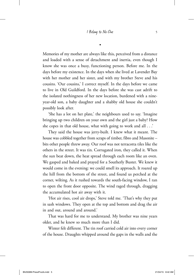*•*

Memories of my mother are always like this, perceived from a distance and loaded with a sense of detachment and inertia, even though I know she was once a busy, functioning person. Before me. In the days before my existence. In the days when she lived at Lavender Bay with her mother and her sister, and with my brother Steve and his cousins. 'Our cousins,' I correct myself. In the days before we came to live in Old Guildford. In the days before she was cast adrift to the isolated nothingness of her new location, burdened with a nineyear-old son, a baby daughter and a shabby old house she couldn't possibly look after*.*

'She has a lot on her plate,' the neighbours used to say. 'Imagine bringing up two children on your own and the girl just a baby? How she copes in that old house, what with going to work and all . . .'

They said the house was jerry-built. I knew what it meant. The house was cobbled together from scraps of timber, fibro and Masonite – bits other people threw away. Our roof was not terracotta tiles like the others in the street. It was tin. Corrugated iron, they called it. When the sun beat down, the heat spread through each room like an oven. We gasped and baked and prayed for a Southerly Buster. We knew it would come in the evening: we could smell its approach. It roared up the hill from the bottom of the street, and found us perched at the corner, wilting. As it rushed towards the south-facing window, I ran to open the front door opposite. The wind raged through, dragging the accumulated hot air away with it.

'Hot air rises, cool air drops,' Steve told me. 'That's why they put in sash windows. They open at the top and bottom and drag the air in and out, around and around.'

That was hard for me to understand. My brother was nine years older, and he knew so much more than I did.

Winter felt different. The tin roof carried cold air into every corner of the house. Draughts whipped around the gaps in the walls and the